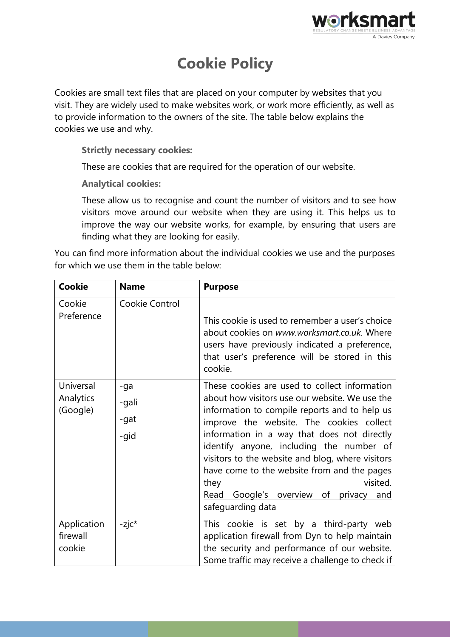

## **Cookie Policy**

Cookies are small text files that are placed on your computer by websites that you visit. They are widely used to make websites work, or work more efficiently, as well as to provide information to the owners of the site. The table below explains the cookies we use and why.

**Strictly necessary cookies:**

These are cookies that are required for the operation of our website.

**Analytical cookies:**

These allow us to recognise and count the number of visitors and to see how visitors move around our website when they are using it. This helps us to improve the way our website works, for example, by ensuring that users are finding what they are looking for easily.

You can find more information about the individual cookies we use and the purposes for which we use them in the table below:

| <b>Cookie</b>                      | <b>Name</b>                  | <b>Purpose</b>                                                                                                                                                                                                                                                                                                                                                                                                                                                               |
|------------------------------------|------------------------------|------------------------------------------------------------------------------------------------------------------------------------------------------------------------------------------------------------------------------------------------------------------------------------------------------------------------------------------------------------------------------------------------------------------------------------------------------------------------------|
| Cookie<br>Preference               | Cookie Control               | This cookie is used to remember a user's choice<br>about cookies on www.worksmart.co.uk. Where<br>users have previously indicated a preference,<br>that user's preference will be stored in this<br>cookie.                                                                                                                                                                                                                                                                  |
| Universal<br>Analytics<br>(Google) | -ga<br>-gali<br>-gat<br>-gid | These cookies are used to collect information<br>about how visitors use our website. We use the<br>information to compile reports and to help us<br>improve the website. The cookies collect<br>information in a way that does not directly<br>identify anyone, including the number of<br>visitors to the website and blog, where visitors<br>have come to the website from and the pages<br>visited.<br>they<br>Read Google's overview of privacy and<br>safeguarding data |
| Application<br>firewall<br>cookie  | $-z$ j $c^*$                 | This cookie is set by a third-party web<br>application firewall from Dyn to help maintain<br>the security and performance of our website.<br>Some traffic may receive a challenge to check if                                                                                                                                                                                                                                                                                |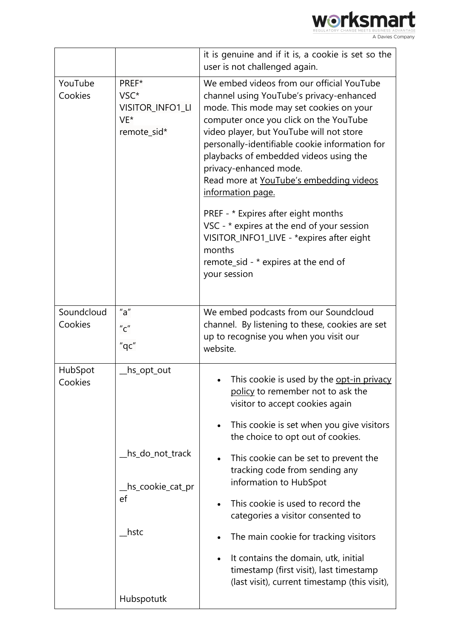

|                    |                                                                                | it is genuine and if it is, a cookie is set so the<br>user is not challenged again.                                                                                                                                                                                                                                                                                                                                                                                                                                                                                                                              |
|--------------------|--------------------------------------------------------------------------------|------------------------------------------------------------------------------------------------------------------------------------------------------------------------------------------------------------------------------------------------------------------------------------------------------------------------------------------------------------------------------------------------------------------------------------------------------------------------------------------------------------------------------------------------------------------------------------------------------------------|
| YouTube<br>Cookies | PREF*<br>VSC*<br>VISITOR_INFO1_LI<br>VE*<br>remote_sid*                        | We embed videos from our official YouTube<br>channel using YouTube's privacy-enhanced<br>mode. This mode may set cookies on your<br>computer once you click on the YouTube<br>video player, but YouTube will not store<br>personally-identifiable cookie information for<br>playbacks of embedded videos using the<br>privacy-enhanced mode.<br>Read more at YouTube's embedding videos<br>information page.<br>PREF - * Expires after eight months<br>VSC - * expires at the end of your session<br>VISITOR_INFO1_LIVE - *expires after eight<br>months<br>remote_sid - * expires at the end of<br>your session |
| Soundcloud         | "a"                                                                            |                                                                                                                                                                                                                                                                                                                                                                                                                                                                                                                                                                                                                  |
|                    |                                                                                | We embed podcasts from our Soundcloud                                                                                                                                                                                                                                                                                                                                                                                                                                                                                                                                                                            |
| Cookies            | $^{\prime\prime}$ C $^{\prime\prime}$                                          | channel. By listening to these, cookies are set                                                                                                                                                                                                                                                                                                                                                                                                                                                                                                                                                                  |
|                    |                                                                                | up to recognise you when you visit our                                                                                                                                                                                                                                                                                                                                                                                                                                                                                                                                                                           |
|                    | "qc"                                                                           | website.                                                                                                                                                                                                                                                                                                                                                                                                                                                                                                                                                                                                         |
| HubSpot<br>Cookies | hs_opt_out_<br>hs_do_not_track<br>hs_cookie_cat_pr<br>ef<br>hstc<br>Hubspotutk | This cookie is used by the <u>opt-in privacy</u><br>policy to remember not to ask the<br>visitor to accept cookies again<br>This cookie is set when you give visitors<br>the choice to opt out of cookies.<br>This cookie can be set to prevent the<br>$\bullet$<br>tracking code from sending any<br>information to HubSpot<br>This cookie is used to record the<br>$\bullet$<br>categories a visitor consented to<br>The main cookie for tracking visitors<br>It contains the domain, utk, initial<br>$\bullet$<br>timestamp (first visit), last timestamp<br>(last visit), current timestamp (this visit),    |